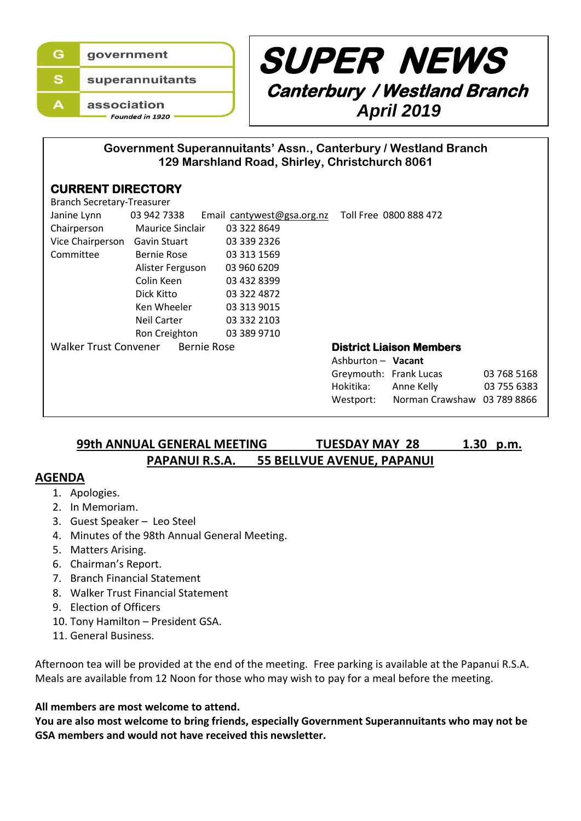



## **Government Superannuitants' Assn., Canterbury / Westland Branch 129 Marshland Road, Shirley, Christchurch 8061**

#### **CURRENT DIRECTORY**

| <b>Branch Secretary-Treasurer</b>    |                         |                            |                                 |                             |             |
|--------------------------------------|-------------------------|----------------------------|---------------------------------|-----------------------------|-------------|
| Janine Lynn                          | 03 942 7338             | Email cantywest@gsa.org.nz |                                 | Toll Free 0800 888 472      |             |
| Chairperson                          | <b>Maurice Sinclair</b> | 03 322 8649                |                                 |                             |             |
| Vice Chairperson                     | Gavin Stuart            | 03 339 2326                |                                 |                             |             |
| Committee                            | Bernie Rose             | 03 313 1569                |                                 |                             |             |
|                                      | Alister Ferguson        | 03 960 6209                |                                 |                             |             |
|                                      | Colin Keen              | 03 432 8399                |                                 |                             |             |
|                                      | Dick Kitto              | 03 322 4872                |                                 |                             |             |
|                                      | Ken Wheeler             | 03 313 9015                |                                 |                             |             |
|                                      | Neil Carter             | 03 332 2103                |                                 |                             |             |
|                                      | Ron Creighton           | 03 389 9710                |                                 |                             |             |
| Walker Trust Convener<br>Bernie Rose |                         |                            | <b>District Liaison Members</b> |                             |             |
|                                      |                         |                            | Ashburton - Vacant              |                             |             |
|                                      |                         |                            | Greymouth: Frank Lucas          |                             | 03 768 5168 |
|                                      |                         |                            | Hokitika:                       | Anne Kelly                  | 03 755 6383 |
|                                      |                         |                            | Westport:                       | Norman Crawshaw 03 789 8866 |             |
|                                      |                         |                            |                                 |                             |             |

## **99th ANNUAL GENERAL MEETING TUESDAY MAY 28 1.30 p.m. PAPANUI R.S.A. 55 BELLVUE AVENUE, PAPANUI**

### **AGENDA**

- 1. Apologies.
- 2. In Memoriam.
- 3. Guest Speaker Leo Steel
- 4. Minutes of the 98th Annual General Meeting.
- 5. Matters Arising.
- 6. Chairman's Report.
- 7. Branch Financial Statement
- 8. Walker Trust Financial Statement
- 9. Election of Officers
- 10. Tony Hamilton President GSA.
- 11. General Business.

Afternoon tea will be provided at the end of the meeting. Free parking is available at the Papanui R.S.A. Meals are available from 12 Noon for those who may wish to pay for a meal before the meeting.

### **All members are most welcome to attend.**

**You are also most welcome to bring friends, especially Government Superannuitants who may not be GSA members and would not have received this newsletter.**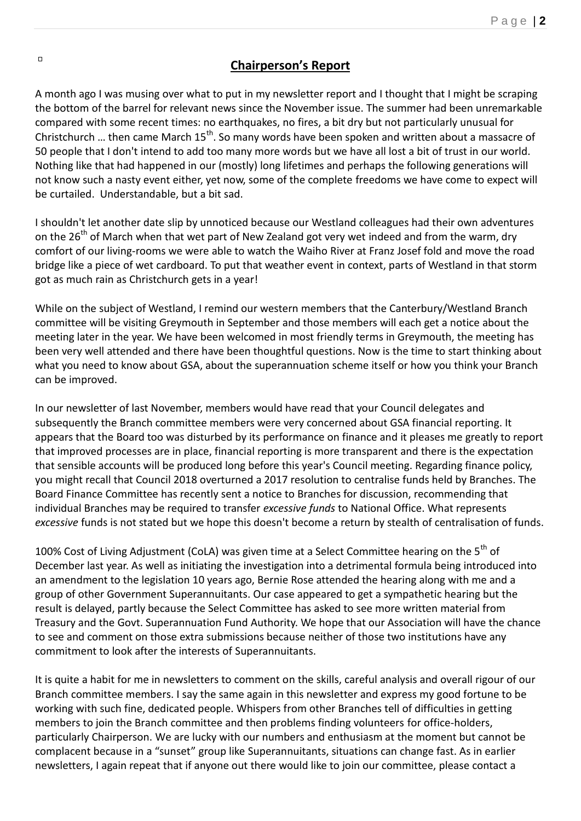## **Chairperson's Report**

A month ago I was musing over what to put in my newsletter report and I thought that I might be scraping the bottom of the barrel for relevant news since the November issue. The summer had been unremarkable compared with some recent times: no earthquakes, no fires, a bit dry but not particularly unusual for Christchurch ... then came March 15<sup>th</sup>. So many words have been spoken and written about a massacre of 50 people that I don't intend to add too many more words but we have all lost a bit of trust in our world. Nothing like that had happened in our (mostly) long lifetimes and perhaps the following generations will not know such a nasty event either, yet now, some of the complete freedoms we have come to expect will be curtailed. Understandable, but a bit sad.

I shouldn't let another date slip by unnoticed because our Westland colleagues had their own adventures on the  $26<sup>th</sup>$  of March when that wet part of New Zealand got very wet indeed and from the warm, dry comfort of our living-rooms we were able to watch the Waiho River at Franz Josef fold and move the road bridge like a piece of wet cardboard. To put that weather event in context, parts of Westland in that storm got as much rain as Christchurch gets in a year!

While on the subject of Westland, I remind our western members that the Canterbury/Westland Branch committee will be visiting Greymouth in September and those members will each get a notice about the meeting later in the year. We have been welcomed in most friendly terms in Greymouth, the meeting has been very well attended and there have been thoughtful questions. Now is the time to start thinking about what you need to know about GSA, about the superannuation scheme itself or how you think your Branch can be improved.

In our newsletter of last November, members would have read that your Council delegates and subsequently the Branch committee members were very concerned about GSA financial reporting. It appears that the Board too was disturbed by its performance on finance and it pleases me greatly to report that improved processes are in place, financial reporting is more transparent and there is the expectation that sensible accounts will be produced long before this year's Council meeting. Regarding finance policy, you might recall that Council 2018 overturned a 2017 resolution to centralise funds held by Branches. The Board Finance Committee has recently sent a notice to Branches for discussion, recommending that individual Branches may be required to transfer *excessive funds* to National Office. What represents *excessive* funds is not stated but we hope this doesn't become a return by stealth of centralisation of funds.

100% Cost of Living Adjustment (CoLA) was given time at a Select Committee hearing on the 5<sup>th</sup> of December last year. As well as initiating the investigation into a detrimental formula being introduced into an amendment to the legislation 10 years ago, Bernie Rose attended the hearing along with me and a group of other Government Superannuitants. Our case appeared to get a sympathetic hearing but the result is delayed, partly because the Select Committee has asked to see more written material from Treasury and the Govt. Superannuation Fund Authority. We hope that our Association will have the chance to see and comment on those extra submissions because neither of those two institutions have any commitment to look after the interests of Superannuitants.

It is quite a habit for me in newsletters to comment on the skills, careful analysis and overall rigour of our Branch committee members. I say the same again in this newsletter and express my good fortune to be working with such fine, dedicated people. Whispers from other Branches tell of difficulties in getting members to join the Branch committee and then problems finding volunteers for office-holders, particularly Chairperson. We are lucky with our numbers and enthusiasm at the moment but cannot be complacent because in a "sunset" group like Superannuitants, situations can change fast. As in earlier newsletters, I again repeat that if anyone out there would like to join our committee, please contact a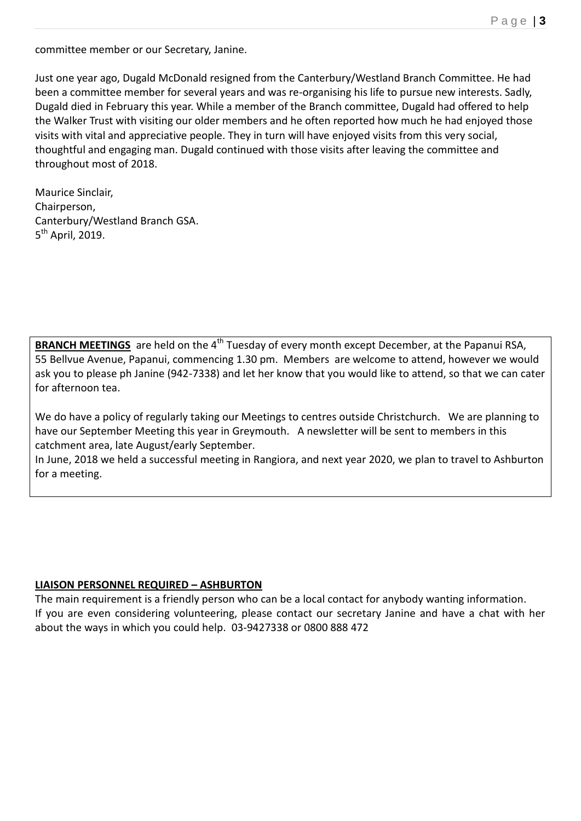committee member or our Secretary, Janine.

Just one year ago, Dugald McDonald resigned from the Canterbury/Westland Branch Committee. He had been a committee member for several years and was re-organising his life to pursue new interests. Sadly, Dugald died in February this year. While a member of the Branch committee, Dugald had offered to help the Walker Trust with visiting our older members and he often reported how much he had enjoyed those visits with vital and appreciative people. They in turn will have enjoyed visits from this very social, thoughtful and engaging man. Dugald continued with those visits after leaving the committee and throughout most of 2018.

Maurice Sinclair, Chairperson, Canterbury/Westland Branch GSA. 5<sup>th</sup> April, 2019.

**BRANCH MEETINGS** are held on the 4<sup>th</sup> Tuesday of every month except December, at the Papanui RSA, 55 Bellvue Avenue, Papanui, commencing 1.30 pm. Members are welcome to attend, however we would ask you to please ph Janine (942-7338) and let her know that you would like to attend, so that we can cater for afternoon tea.

We do have a policy of regularly taking our Meetings to centres outside Christchurch. We are planning to have our September Meeting this year in Greymouth. A newsletter will be sent to members in this catchment area, late August/early September.

In June, 2018 we held a successful meeting in Rangiora, and next year 2020, we plan to travel to Ashburton for a meeting.

#### **LIAISON PERSONNEL REQUIRED – ASHBURTON**

The main requirement is a friendly person who can be a local contact for anybody wanting information. If you are even considering volunteering, please contact our secretary Janine and have a chat with her about the ways in which you could help. 03-9427338 or 0800 888 472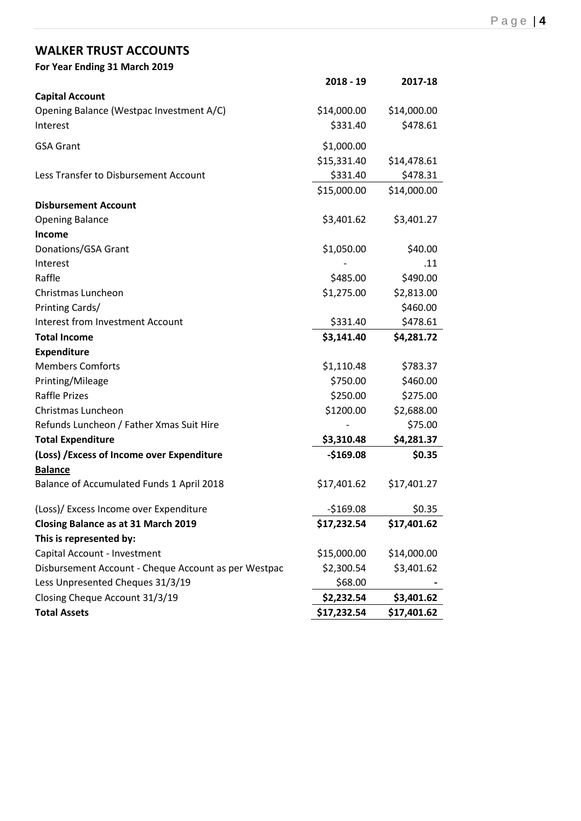# **WALKER TRUST ACCOUNTS**

| For Year Ending 31 March 2019                        |             |             |
|------------------------------------------------------|-------------|-------------|
|                                                      | $2018 - 19$ | 2017-18     |
| <b>Capital Account</b>                               |             |             |
| Opening Balance (Westpac Investment A/C)             | \$14,000.00 | \$14,000.00 |
| Interest                                             | \$331.40    | \$478.61    |
| <b>GSA Grant</b>                                     | \$1,000.00  |             |
|                                                      | \$15,331.40 | \$14,478.61 |
| Less Transfer to Disbursement Account                | \$331.40    | \$478.31    |
|                                                      | \$15,000.00 | \$14,000.00 |
| <b>Disbursement Account</b>                          |             |             |
| <b>Opening Balance</b>                               | \$3,401.62  | \$3,401.27  |
| Income                                               |             |             |
| Donations/GSA Grant                                  | \$1,050.00  | \$40.00     |
| Interest                                             |             | .11         |
| Raffle                                               | \$485.00    | \$490.00    |
| Christmas Luncheon                                   | \$1,275.00  | \$2,813.00  |
| Printing Cards/                                      |             | \$460.00    |
| <b>Interest from Investment Account</b>              | \$331.40    | \$478.61    |
| <b>Total Income</b>                                  | \$3,141.40  | \$4,281.72  |
| <b>Expenditure</b>                                   |             |             |
| <b>Members Comforts</b>                              | \$1,110.48  | \$783.37    |
| Printing/Mileage                                     | \$750.00    | \$460.00    |
| <b>Raffle Prizes</b>                                 | \$250.00    | \$275.00    |
| Christmas Luncheon                                   | \$1200.00   | \$2,688.00  |
| Refunds Luncheon / Father Xmas Suit Hire             |             | \$75.00     |
| <b>Total Expenditure</b>                             | \$3,310.48  | \$4,281.37  |
| (Loss) / Excess of Income over Expenditure           | $-$169.08$  | \$0.35      |
| <b>Balance</b>                                       |             |             |
| Balance of Accumulated Funds 1 April 2018            | \$17,401.62 | \$17,401.27 |
| (Loss)/ Excess Income over Expenditure               | $-$169.08$  | \$0.35      |
| Closing Balance as at 31 March 2019                  | \$17,232.54 | \$17,401.62 |
| This is represented by:                              |             |             |
| Capital Account - Investment                         | \$15,000.00 | \$14,000.00 |
| Disbursement Account - Cheque Account as per Westpac | \$2,300.54  | \$3,401.62  |
| Less Unpresented Cheques 31/3/19                     | \$68.00     |             |
| Closing Cheque Account 31/3/19                       | \$2,232.54  | \$3,401.62  |
| <b>Total Assets</b>                                  | \$17,232.54 | \$17,401.62 |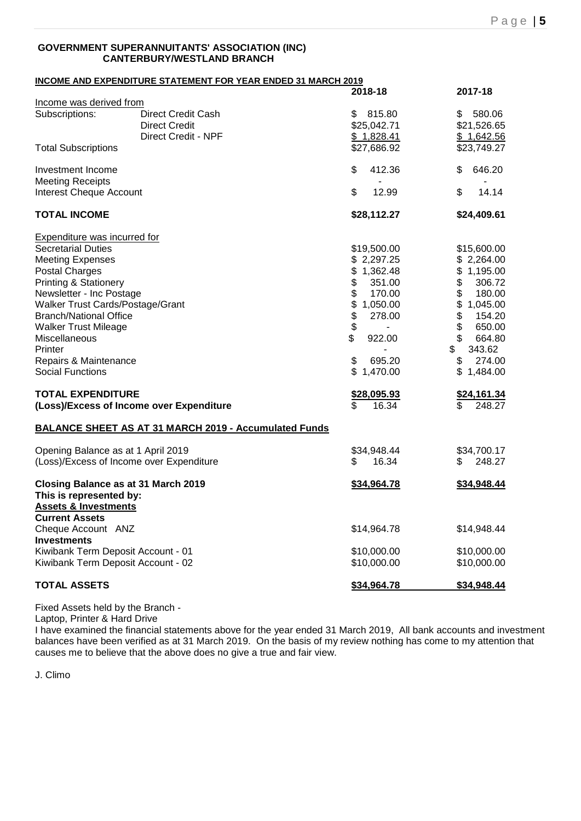#### **GOVERNMENT SUPERANNUITANTS' ASSOCIATION (INC) CANTERBURY/WESTLAND BRANCH**

|                                                  | <b>INCOME AND EXPENDITURE STATEMENT FOR YEAR ENDED 31 MARCH 2019</b> |                            |                                                     |
|--------------------------------------------------|----------------------------------------------------------------------|----------------------------|-----------------------------------------------------|
|                                                  |                                                                      | 2018-18                    | 2017-18                                             |
| Income was derived from                          |                                                                      |                            |                                                     |
| Subscriptions:                                   | Direct Credit Cash                                                   | 815.80<br>\$               | 580.06<br>\$                                        |
|                                                  | <b>Direct Credit</b>                                                 | \$25,042.71                | \$21,526.65                                         |
|                                                  | <b>Direct Credit - NPF</b>                                           | \$1,828.41                 | \$1,642.56                                          |
| <b>Total Subscriptions</b>                       |                                                                      | \$27,686.92                | \$23,749.27                                         |
| Investment Income                                |                                                                      | \$<br>412.36               | 646.20<br>\$                                        |
| <b>Meeting Receipts</b>                          |                                                                      |                            |                                                     |
| <b>Interest Cheque Account</b>                   |                                                                      | \$<br>12.99                | \$<br>14.14                                         |
| <b>TOTAL INCOME</b>                              |                                                                      | \$28,112.27                | \$24,409.61                                         |
| <b>Expenditure was incurred for</b>              |                                                                      |                            |                                                     |
| <b>Secretarial Duties</b>                        |                                                                      | \$19,500.00                | \$15,600.00                                         |
| <b>Meeting Expenses</b>                          |                                                                      | \$2,297.25                 | \$2,264.00                                          |
| <b>Postal Charges</b>                            |                                                                      | 1,362.48<br>\$             | 1,195.00<br>\$                                      |
| <b>Printing &amp; Stationery</b>                 |                                                                      | \$<br>351.00               | \$<br>306.72                                        |
| Newsletter - Inc Postage                         |                                                                      | \$<br>170.00               | \$<br>180.00                                        |
| Walker Trust Cards/Postage/Grant                 |                                                                      | \$<br>1,050.00             | \$<br>1,045.00                                      |
| <b>Branch/National Office</b>                    |                                                                      | 278.00                     | \$<br>154.20                                        |
| <b>Walker Trust Mileage</b>                      |                                                                      | \$                         | $\, \, \raisebox{12pt}{$\scriptstyle \$}$<br>650.00 |
|                                                  |                                                                      | \$<br>922.00               | \$<br>664.80                                        |
| Miscellaneous                                    |                                                                      |                            | 343.62                                              |
| Printer                                          |                                                                      |                            | \$                                                  |
| Repairs & Maintenance<br><b>Social Functions</b> |                                                                      | \$<br>695.20<br>\$1,470.00 | 274.00<br>\$<br>\$<br>1,484.00                      |
| <b>TOTAL EXPENDITURE</b>                         |                                                                      |                            |                                                     |
|                                                  | (Loss)/Excess of Income over Expenditure                             | \$28,095.93<br>16.34<br>\$ | \$24,161.34<br>248.27<br>\$                         |
|                                                  | <b>BALANCE SHEET AS AT 31 MARCH 2019 - Accumulated Funds</b>         |                            |                                                     |
| Opening Balance as at 1 April 2019               |                                                                      | \$34,948.44                | \$34,700.17                                         |
|                                                  | (Loss)/Excess of Income over Expenditure                             | 16.34<br>\$                | 248.27<br>\$                                        |
| This is represented by:                          | Closing Balance as at 31 March 2019                                  | \$34,964.78                | \$34,948.44                                         |
| <b>Assets &amp; Investments</b>                  |                                                                      |                            |                                                     |
| <b>Current Assets</b>                            |                                                                      |                            |                                                     |
| Cheque Account ANZ                               |                                                                      | \$14,964.78                | \$14,948.44                                         |
| <b>Investments</b>                               |                                                                      |                            |                                                     |
| Kiwibank Term Deposit Account - 01               |                                                                      | \$10,000.00                | \$10,000.00                                         |
| Kiwibank Term Deposit Account - 02               |                                                                      | \$10,000.00                | \$10,000.00                                         |
| <b>TOTAL ASSETS</b>                              |                                                                      | \$34,964.78                | \$34,948.44                                         |

Fixed Assets held by the Branch -

Laptop, Printer & Hard Drive

I have examined the financial statements above for the year ended 31 March 2019, All bank accounts and investment balances have been verified as at 31 March 2019. On the basis of my review nothing has come to my attention that causes me to believe that the above does no give a true and fair view.

J. Climo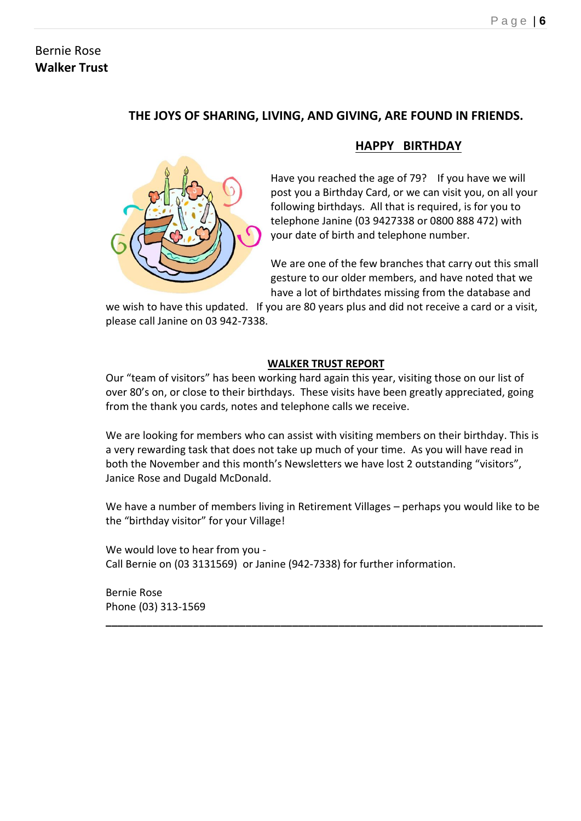## Bernie Rose **Walker Trust**

# **THE JOYS OF SHARING, LIVING, AND GIVING, ARE FOUND IN FRIENDS.**



# **HAPPY BIRTHDAY**

Have you reached the age of 79? If you have we will post you a Birthday Card, or we can visit you, on all your following birthdays. All that is required, is for you to telephone Janine (03 9427338 or 0800 888 472) with your date of birth and telephone number.

We are one of the few branches that carry out this small gesture to our older members, and have noted that we have a lot of birthdates missing from the database and

we wish to have this updated. If you are 80 years plus and did not receive a card or a visit, please call Janine on 03 942-7338.

## **WALKER TRUST REPORT**

Our "team of visitors" has been working hard again this year, visiting those on our list of over 80's on, or close to their birthdays. These visits have been greatly appreciated, going from the thank you cards, notes and telephone calls we receive.

We are looking for members who can assist with visiting members on their birthday. This is a very rewarding task that does not take up much of your time. As you will have read in both the November and this month's Newsletters we have lost 2 outstanding "visitors", Janice Rose and Dugald McDonald.

We have a number of members living in Retirement Villages – perhaps you would like to be the "birthday visitor" for your Village!

**\_\_\_\_\_\_\_\_\_\_\_\_\_\_\_\_\_\_\_\_\_\_\_\_\_\_\_\_\_\_\_\_\_\_\_\_\_\_\_\_\_\_\_\_\_\_\_\_\_\_\_\_\_\_\_\_\_\_\_\_\_\_\_\_\_\_\_\_\_\_\_\_\_\_\_**

We would love to hear from you - Call Bernie on (03 3131569) or Janine (942-7338) for further information.

Bernie Rose Phone (03) 313-1569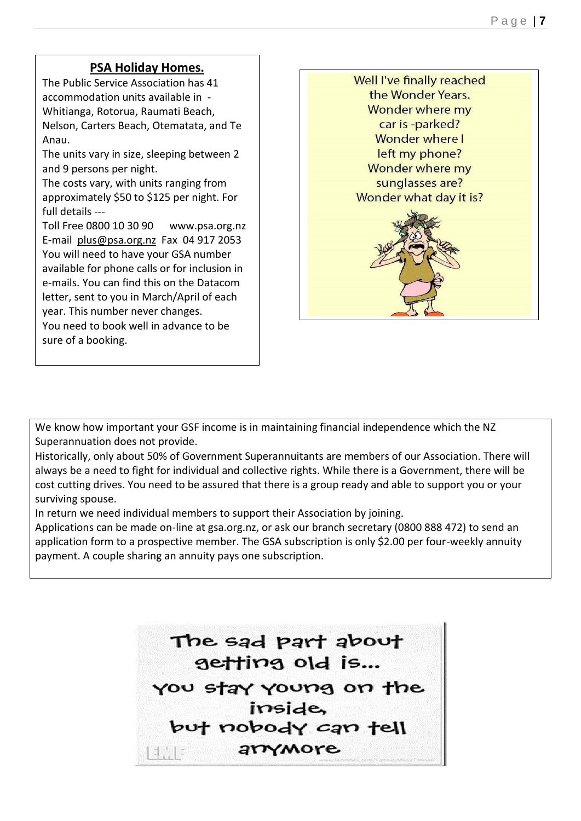## **PSA Holiday Homes.**

 $\overline{\phantom{a}}$ 

The Public Service Association has 41 accommodation units available in - Whitianga, Rotorua, Raumati Beach, Nelson, Carters Beach, Otematata, and Te Anau.

The units vary in size, sleeping between 2 and 9 persons per night.

The costs vary, with units ranging from approximately \$50 to \$125 per night. For full details ---

Toll Free 0800 10 30 90 www.psa.org.nz E-mail [plus@psa.org.nz](mailto:plus@psa.org.nz) Fax 04 917 2053 You will need to have your GSA number available for phone calls or for inclusion in e-mails. You can find this on the Datacom letter, sent to you in March/April of each year. This number never changes.

You need to book well in advance to be sure of a booking.



We know how important your GSF income is in maintaining financial independence which the NZ Superannuation does not provide.

Historically, only about 50% of Government Superannuitants are members of our Association. There will always be a need to fight for individual and collective rights. While there is a Government, there will be cost cutting drives. You need to be assured that there is a group ready and able to support you or your surviving spouse.

In return we need individual members to support their Association by joining.

Applications can be made on-line at gsa.org.nz, or ask our branch secretary (0800 888 472) to send an application form to a prospective member. The GSA subscription is only \$2.00 per four-weekly annuity payment. A couple sharing an annuity pays one subscription.

> The sad part about getting old is... you stay young on the inside. but nobody can tell arrymore  $\mathbb{E}[\mathbb{E}^{\mathbb{E}}]$